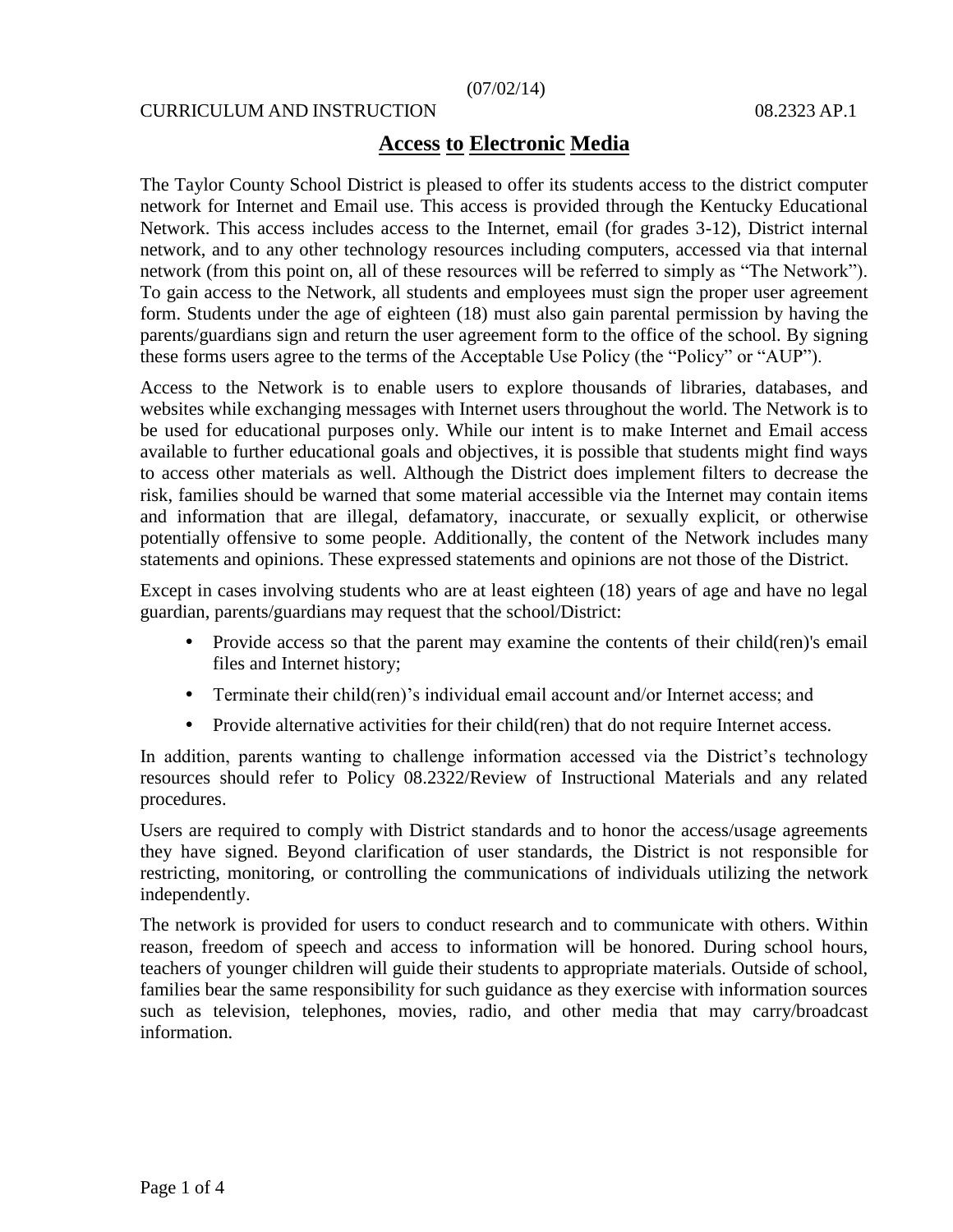### (07/02/14)

### CURRICULUM AND INSTRUCTION 08.2323 AP.1

## **Access to Electronic Media**

The Taylor County School District is pleased to offer its students access to the district computer network for Internet and Email use. This access is provided through the Kentucky Educational Network. This access includes access to the Internet, email (for grades 3-12), District internal network, and to any other technology resources including computers, accessed via that internal network (from this point on, all of these resources will be referred to simply as "The Network"). To gain access to the Network, all students and employees must sign the proper user agreement form. Students under the age of eighteen (18) must also gain parental permission by having the parents/guardians sign and return the user agreement form to the office of the school. By signing these forms users agree to the terms of the Acceptable Use Policy (the "Policy" or "AUP").

Access to the Network is to enable users to explore thousands of libraries, databases, and websites while exchanging messages with Internet users throughout the world. The Network is to be used for educational purposes only. While our intent is to make Internet and Email access available to further educational goals and objectives, it is possible that students might find ways to access other materials as well. Although the District does implement filters to decrease the risk, families should be warned that some material accessible via the Internet may contain items and information that are illegal, defamatory, inaccurate, or sexually explicit, or otherwise potentially offensive to some people. Additionally, the content of the Network includes many statements and opinions. These expressed statements and opinions are not those of the District.

Except in cases involving students who are at least eighteen (18) years of age and have no legal guardian, parents/guardians may request that the school/District:

- Provide access so that the parent may examine the contents of their child(ren)'s email files and Internet history;
- Terminate their child(ren)'s individual email account and/or Internet access; and
- Provide alternative activities for their child(ren) that do not require Internet access.

In addition, parents wanting to challenge information accessed via the District's technology resources should refer to Policy 08.2322/Review of Instructional Materials and any related procedures.

Users are required to comply with District standards and to honor the access/usage agreements they have signed. Beyond clarification of user standards, the District is not responsible for restricting, monitoring, or controlling the communications of individuals utilizing the network independently.

The network is provided for users to conduct research and to communicate with others. Within reason, freedom of speech and access to information will be honored. During school hours, teachers of younger children will guide their students to appropriate materials. Outside of school, families bear the same responsibility for such guidance as they exercise with information sources such as television, telephones, movies, radio, and other media that may carry/broadcast information.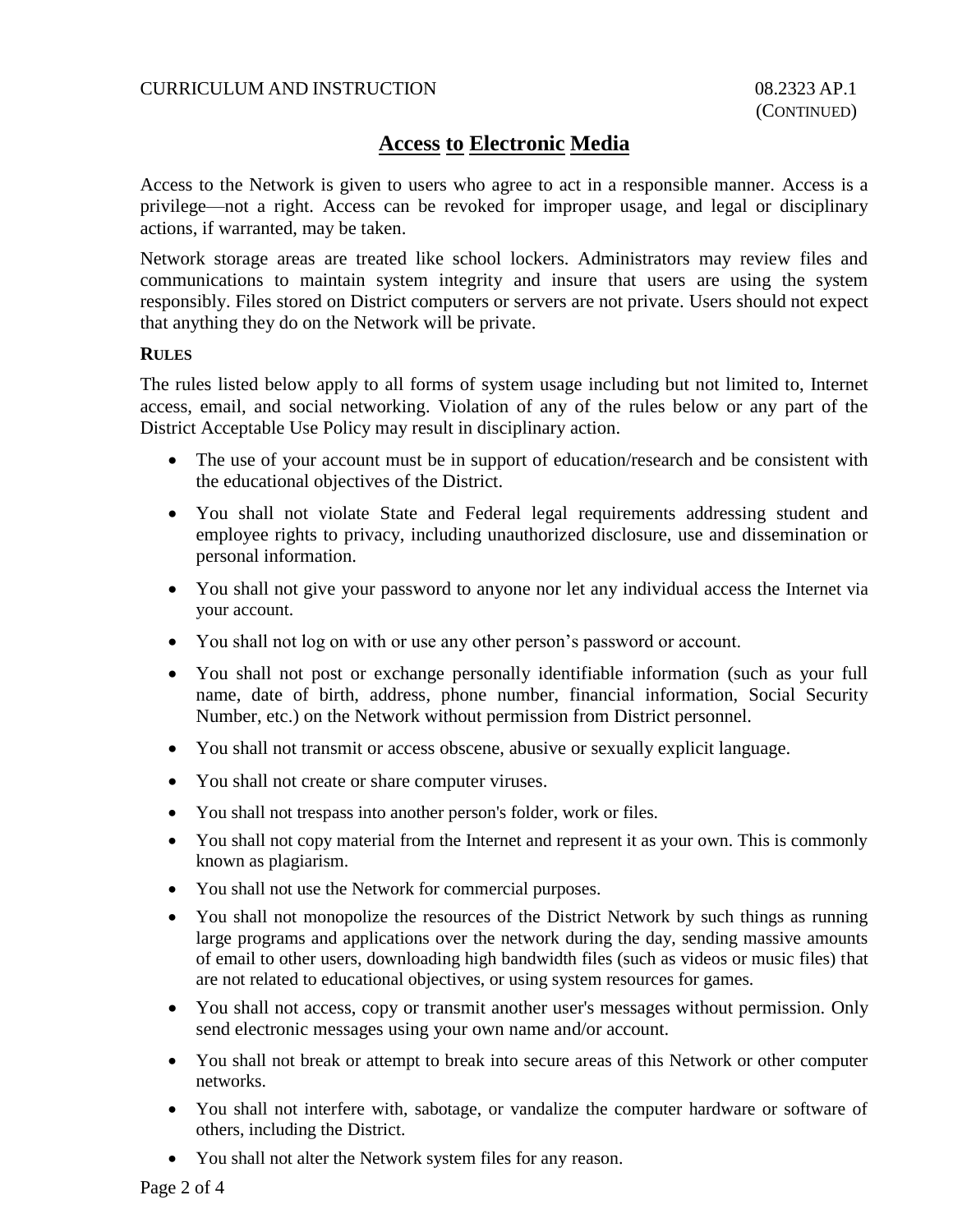## CURRICULUM AND INSTRUCTION 08.2323 AP.1

# **Access to Electronic Media**

Access to the Network is given to users who agree to act in a responsible manner. Access is a privilege—not a right. Access can be revoked for improper usage, and legal or disciplinary actions, if warranted, may be taken.

Network storage areas are treated like school lockers. Administrators may review files and communications to maintain system integrity and insure that users are using the system responsibly. Files stored on District computers or servers are not private. Users should not expect that anything they do on the Network will be private.

### **RULES**

The rules listed below apply to all forms of system usage including but not limited to, Internet access, email, and social networking. Violation of any of the rules below or any part of the District Acceptable Use Policy may result in disciplinary action.

- The use of your account must be in support of education/research and be consistent with the educational objectives of the District.
- You shall not violate State and Federal legal requirements addressing student and employee rights to privacy, including unauthorized disclosure, use and dissemination or personal information.
- You shall not give your password to anyone nor let any individual access the Internet via your account.
- You shall not log on with or use any other person's password or account.
- You shall not post or exchange personally identifiable information (such as your full name, date of birth, address, phone number, financial information, Social Security Number, etc.) on the Network without permission from District personnel.
- You shall not transmit or access obscene, abusive or sexually explicit language.
- You shall not create or share computer viruses.
- You shall not trespass into another person's folder, work or files.
- You shall not copy material from the Internet and represent it as your own. This is commonly known as plagiarism.
- You shall not use the Network for commercial purposes.
- You shall not monopolize the resources of the District Network by such things as running large programs and applications over the network during the day, sending massive amounts of email to other users, downloading high bandwidth files (such as videos or music files) that are not related to educational objectives, or using system resources for games.
- You shall not access, copy or transmit another user's messages without permission. Only send electronic messages using your own name and/or account.
- You shall not break or attempt to break into secure areas of this Network or other computer networks.
- You shall not interfere with, sabotage, or vandalize the computer hardware or software of others, including the District.
- You shall not alter the Network system files for any reason.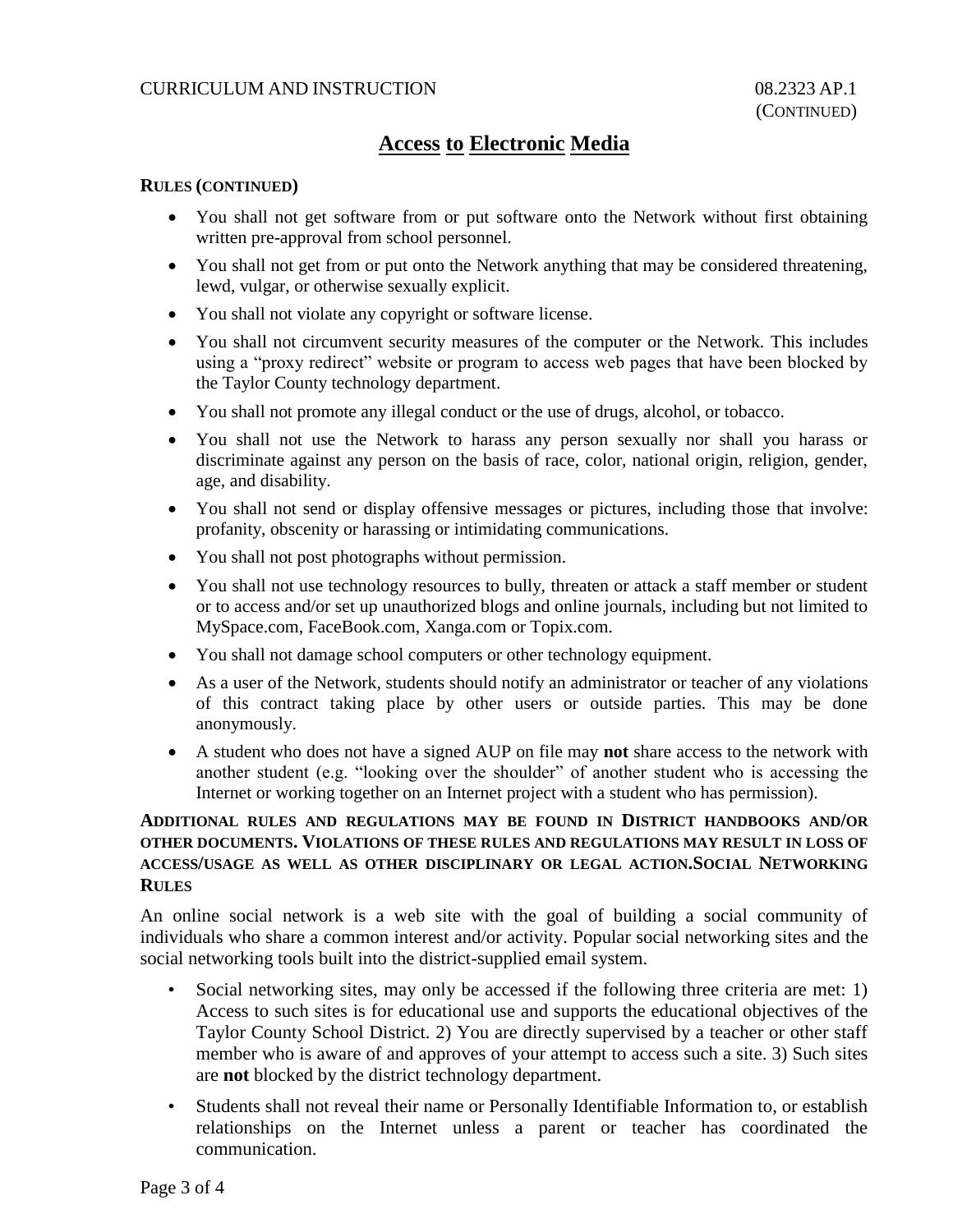## CURRICULUM AND INSTRUCTION 08.2323 AP.1

# **Access to Electronic Media**

### **RULES (CONTINUED)**

- You shall not get software from or put software onto the Network without first obtaining written pre-approval from school personnel.
- You shall not get from or put onto the Network anything that may be considered threatening, lewd, vulgar, or otherwise sexually explicit.
- You shall not violate any copyright or software license.
- You shall not circumvent security measures of the computer or the Network. This includes using a "proxy redirect" website or program to access web pages that have been blocked by the Taylor County technology department.
- You shall not promote any illegal conduct or the use of drugs, alcohol, or tobacco.
- You shall not use the Network to harass any person sexually nor shall you harass or discriminate against any person on the basis of race, color, national origin, religion, gender, age, and disability.
- You shall not send or display offensive messages or pictures, including those that involve: profanity, obscenity or harassing or intimidating communications.
- You shall not post photographs without permission.
- You shall not use technology resources to bully, threaten or attack a staff member or student or to access and/or set up unauthorized blogs and online journals, including but not limited to MySpace.com, FaceBook.com, Xanga.com or Topix.com.
- You shall not damage school computers or other technology equipment.
- As a user of the Network, students should notify an administrator or teacher of any violations of this contract taking place by other users or outside parties. This may be done anonymously.
- A student who does not have a signed AUP on file may **not** share access to the network with another student (e.g. "looking over the shoulder" of another student who is accessing the Internet or working together on an Internet project with a student who has permission).

## **ADDITIONAL RULES AND REGULATIONS MAY BE FOUND IN DISTRICT HANDBOOKS AND/OR OTHER DOCUMENTS. VIOLATIONS OF THESE RULES AND REGULATIONS MAY RESULT IN LOSS OF ACCESS/USAGE AS WELL AS OTHER DISCIPLINARY OR LEGAL ACTION.SOCIAL NETWORKING RULES**

An online social network is a web site with the goal of building a social community of individuals who share a common interest and/or activity. Popular social networking sites and the social networking tools built into the district-supplied email system.

- Social networking sites, may only be accessed if the following three criteria are met: 1) Access to such sites is for educational use and supports the educational objectives of the Taylor County School District. 2) You are directly supervised by a teacher or other staff member who is aware of and approves of your attempt to access such a site. 3) Such sites are **not** blocked by the district technology department.
- Students shall not reveal their name or Personally Identifiable Information to, or establish relationships on the Internet unless a parent or teacher has coordinated the communication.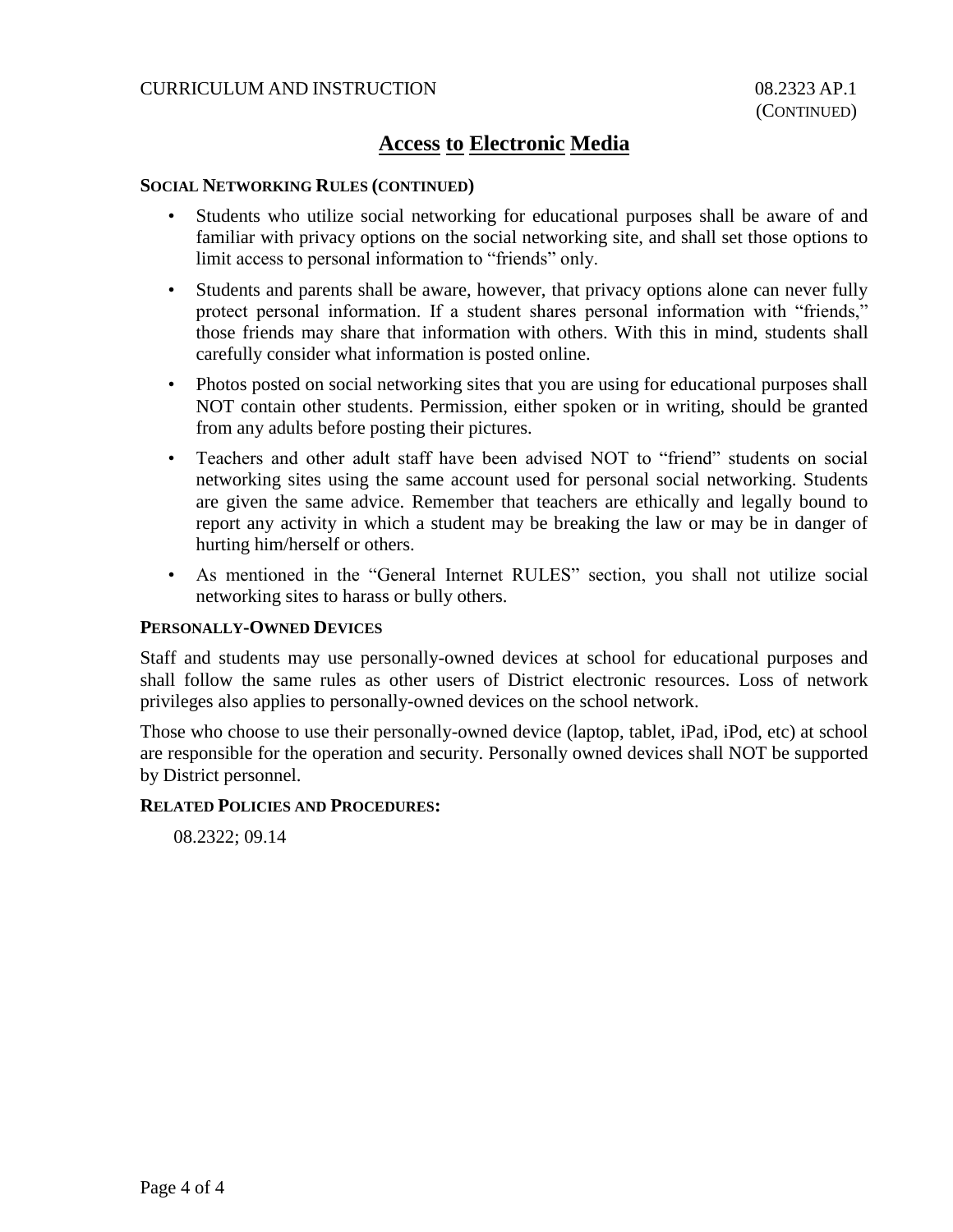## CURRICULUM AND INSTRUCTION 08.2323 AP.1

# **Access to Electronic Media**

### **SOCIAL NETWORKING RULES (CONTINUED)**

- Students who utilize social networking for educational purposes shall be aware of and familiar with privacy options on the social networking site, and shall set those options to limit access to personal information to "friends" only.
- Students and parents shall be aware, however, that privacy options alone can never fully protect personal information. If a student shares personal information with "friends," those friends may share that information with others. With this in mind, students shall carefully consider what information is posted online.
- Photos posted on social networking sites that you are using for educational purposes shall NOT contain other students. Permission, either spoken or in writing, should be granted from any adults before posting their pictures.
- Teachers and other adult staff have been advised NOT to "friend" students on social networking sites using the same account used for personal social networking. Students are given the same advice. Remember that teachers are ethically and legally bound to report any activity in which a student may be breaking the law or may be in danger of hurting him/herself or others.
- As mentioned in the "General Internet RULES" section, you shall not utilize social networking sites to harass or bully others.

### **PERSONALLY-OWNED DEVICES**

Staff and students may use personally-owned devices at school for educational purposes and shall follow the same rules as other users of District electronic resources. Loss of network privileges also applies to personally-owned devices on the school network.

Those who choose to use their personally-owned device (laptop, tablet, iPad, iPod, etc) at school are responsible for the operation and security. Personally owned devices shall NOT be supported by District personnel.

### **RELATED POLICIES AND PROCEDURES:**

08.2322; 09.14